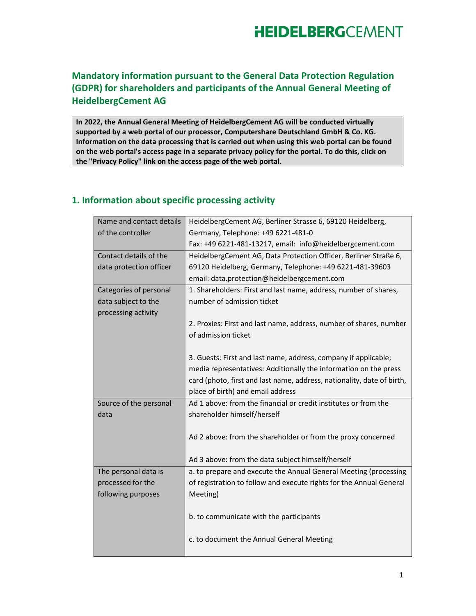### Mandatory information pursuant to the General Data Protection Regulation (GDPR) for shareholders and participants of the Annual General Meeting of HeidelbergCement AG

In 2022, the Annual General Meeting of HeidelbergCement AG will be conducted virtually supported by a web portal of our processor, Computershare Deutschland GmbH & Co. KG. Information on the data processing that is carried out when using this web portal can be found on the web portal's access page in a separate privacy policy for the portal. To do this, click on the "Privacy Policy" link on the access page of the web portal.

#### 1. Information about specific processing activity

| Name and contact details | HeidelbergCement AG, Berliner Strasse 6, 69120 Heidelberg,             |
|--------------------------|------------------------------------------------------------------------|
| of the controller        | Germany, Telephone: +49 6221-481-0                                     |
|                          | Fax: +49 6221-481-13217, email: info@heidelbergcement.com              |
| Contact details of the   | HeidelbergCement AG, Data Protection Officer, Berliner Straße 6,       |
| data protection officer  | 69120 Heidelberg, Germany, Telephone: +49 6221-481-39603               |
|                          | email: data.protection@heidelbergcement.com                            |
| Categories of personal   | 1. Shareholders: First and last name, address, number of shares,       |
| data subject to the      | number of admission ticket                                             |
| processing activity      |                                                                        |
|                          | 2. Proxies: First and last name, address, number of shares, number     |
|                          | of admission ticket                                                    |
|                          |                                                                        |
|                          | 3. Guests: First and last name, address, company if applicable;        |
|                          | media representatives: Additionally the information on the press       |
|                          | card (photo, first and last name, address, nationality, date of birth, |
|                          | place of birth) and email address                                      |
| Source of the personal   | Ad 1 above: from the financial or credit institutes or from the        |
|                          |                                                                        |
| data                     | shareholder himself/herself                                            |
|                          |                                                                        |
|                          | Ad 2 above: from the shareholder or from the proxy concerned           |
|                          |                                                                        |
|                          | Ad 3 above: from the data subject himself/herself                      |
| The personal data is     | a. to prepare and execute the Annual General Meeting (processing       |
| processed for the        | of registration to follow and execute rights for the Annual General    |
| following purposes       | Meeting)                                                               |
|                          |                                                                        |
|                          | b. to communicate with the participants                                |
|                          |                                                                        |
|                          | c. to document the Annual General Meeting                              |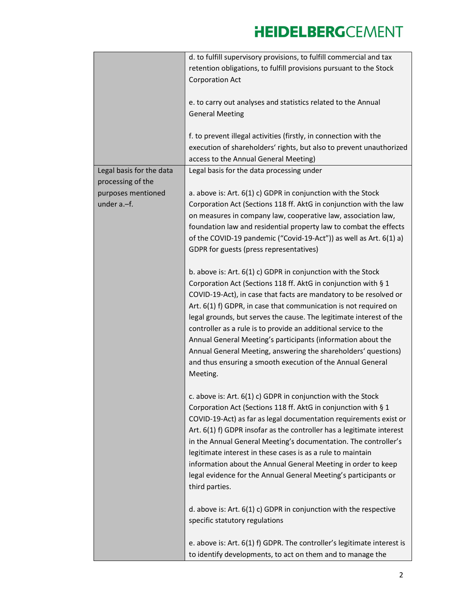|                          | d. to fulfill supervisory provisions, to fulfill commercial and tax     |
|--------------------------|-------------------------------------------------------------------------|
|                          | retention obligations, to fulfill provisions pursuant to the Stock      |
|                          | <b>Corporation Act</b>                                                  |
|                          |                                                                         |
|                          | e. to carry out analyses and statistics related to the Annual           |
|                          | <b>General Meeting</b>                                                  |
|                          |                                                                         |
|                          | f. to prevent illegal activities (firstly, in connection with the       |
|                          | execution of shareholders' rights, but also to prevent unauthorized     |
|                          | access to the Annual General Meeting)                                   |
| Legal basis for the data | Legal basis for the data processing under                               |
| processing of the        |                                                                         |
| purposes mentioned       | a. above is: Art. 6(1) c) GDPR in conjunction with the Stock            |
| under a.-f.              | Corporation Act (Sections 118 ff. AktG in conjunction with the law      |
|                          | on measures in company law, cooperative law, association law,           |
|                          | foundation law and residential property law to combat the effects       |
|                          | of the COVID-19 pandemic ("Covid-19-Act")) as well as Art. 6(1) a)      |
|                          | GDPR for guests (press representatives)                                 |
|                          |                                                                         |
|                          | b. above is: Art. $6(1)$ c) GDPR in conjunction with the Stock          |
|                          | Corporation Act (Sections 118 ff. AktG in conjunction with § 1          |
|                          | COVID-19-Act), in case that facts are mandatory to be resolved or       |
|                          | Art. 6(1) f) GDPR, in case that communication is not required on        |
|                          | legal grounds, but serves the cause. The legitimate interest of the     |
|                          | controller as a rule is to provide an additional service to the         |
|                          | Annual General Meeting's participants (information about the            |
|                          | Annual General Meeting, answering the shareholders' questions)          |
|                          |                                                                         |
|                          | and thus ensuring a smooth execution of the Annual General              |
|                          | Meeting.                                                                |
|                          |                                                                         |
|                          | c. above is: Art. 6(1) c) GDPR in conjunction with the Stock            |
|                          | Corporation Act (Sections 118 ff. AktG in conjunction with § 1          |
|                          | COVID-19-Act) as far as legal documentation requirements exist or       |
|                          | Art. 6(1) f) GDPR insofar as the controller has a legitimate interest   |
|                          | in the Annual General Meeting's documentation. The controller's         |
|                          | legitimate interest in these cases is as a rule to maintain             |
|                          | information about the Annual General Meeting in order to keep           |
|                          | legal evidence for the Annual General Meeting's participants or         |
|                          | third parties.                                                          |
|                          |                                                                         |
|                          | d. above is: Art. $6(1)$ c) GDPR in conjunction with the respective     |
|                          | specific statutory regulations                                          |
|                          |                                                                         |
|                          | e. above is: Art. 6(1) f) GDPR. The controller's legitimate interest is |
|                          | to identify developments, to act on them and to manage the              |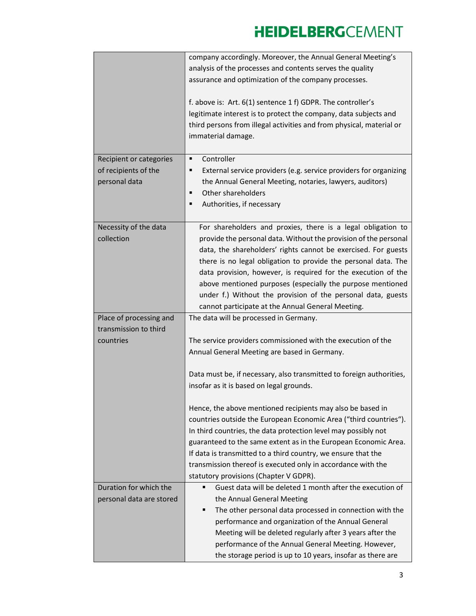|                          | company accordingly. Moreover, the Annual General Meeting's                 |
|--------------------------|-----------------------------------------------------------------------------|
|                          | analysis of the processes and contents serves the quality                   |
|                          | assurance and optimization of the company processes.                        |
|                          | f. above is: Art. 6(1) sentence 1 f) GDPR. The controller's                 |
|                          | legitimate interest is to protect the company, data subjects and            |
|                          | third persons from illegal activities and from physical, material or        |
|                          | immaterial damage.                                                          |
| Recipient or categories  | Controller<br>٠                                                             |
| of recipients of the     | External service providers (e.g. service providers for organizing<br>п      |
| personal data            | the Annual General Meeting, notaries, lawyers, auditors)                    |
|                          | Other shareholders<br>п                                                     |
|                          | Authorities, if necessary<br>п                                              |
| Necessity of the data    | For shareholders and proxies, there is a legal obligation to                |
| collection               | provide the personal data. Without the provision of the personal            |
|                          | data, the shareholders' rights cannot be exercised. For guests              |
|                          | there is no legal obligation to provide the personal data. The              |
|                          | data provision, however, is required for the execution of the               |
|                          | above mentioned purposes (especially the purpose mentioned                  |
|                          | under f.) Without the provision of the personal data, guests                |
|                          | cannot participate at the Annual General Meeting.                           |
| Place of processing and  | The data will be processed in Germany.                                      |
| transmission to third    |                                                                             |
| countries                | The service providers commissioned with the execution of the                |
|                          | Annual General Meeting are based in Germany.                                |
|                          | Data must be, if necessary, also transmitted to foreign authorities,        |
|                          | insofar as it is based on legal grounds.                                    |
|                          |                                                                             |
|                          | Hence, the above mentioned recipients may also be based in                  |
|                          | countries outside the European Economic Area ("third countries").           |
|                          | In third countries, the data protection level may possibly not              |
|                          | guaranteed to the same extent as in the European Economic Area.             |
|                          | If data is transmitted to a third country, we ensure that the               |
|                          | transmission thereof is executed only in accordance with the                |
|                          | statutory provisions (Chapter V GDPR).                                      |
| Duration for which the   | Guest data will be deleted 1 month after the execution of<br>$\blacksquare$ |
| personal data are stored | the Annual General Meeting                                                  |
|                          | The other personal data processed in connection with the<br>п               |
|                          | performance and organization of the Annual General                          |
|                          | Meeting will be deleted regularly after 3 years after the                   |
|                          | performance of the Annual General Meeting. However,                         |
|                          | the storage period is up to 10 years, insofar as there are                  |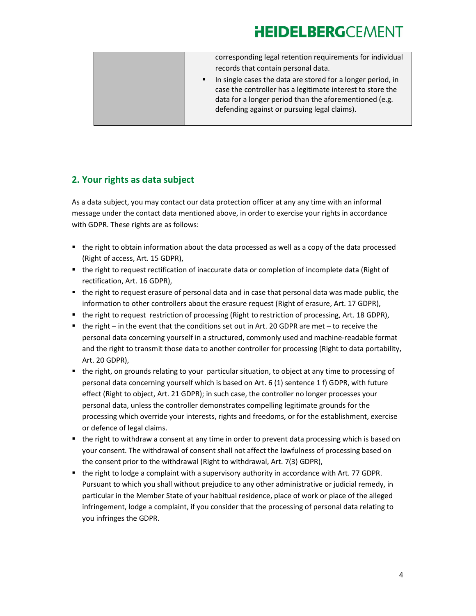| corresponding legal retention requirements for individual<br>records that contain personal data.                                                                                                                                                      |
|-------------------------------------------------------------------------------------------------------------------------------------------------------------------------------------------------------------------------------------------------------|
| In single cases the data are stored for a longer period, in<br>$\blacksquare$<br>case the controller has a legitimate interest to store the<br>data for a longer period than the aforementioned (e.g.<br>defending against or pursuing legal claims). |
|                                                                                                                                                                                                                                                       |

### 2. Your rights as data subject

As a data subject, you may contact our data protection officer at any any time with an informal message under the contact data mentioned above, in order to exercise your rights in accordance with GDPR. These rights are as follows:

- the right to obtain information about the data processed as well as a copy of the data processed (Right of access, Art. 15 GDPR),
- the right to request rectification of inaccurate data or completion of incomplete data (Right of rectification, Art. 16 GDPR),
- the right to request erasure of personal data and in case that personal data was made public, the information to other controllers about the erasure request (Right of erasure, Art. 17 GDPR),
- the right to request restriction of processing (Right to restriction of processing, Art. 18 GDPR),
- $\blacksquare$  the right in the event that the conditions set out in Art. 20 GDPR are met to receive the personal data concerning yourself in a structured, commonly used and machine-readable format and the right to transmit those data to another controller for processing (Right to data portability, Art. 20 GDPR),
- the right, on grounds relating to your particular situation, to object at any time to processing of personal data concerning yourself which is based on Art. 6 (1) sentence 1 f) GDPR, with future effect (Right to object, Art. 21 GDPR); in such case, the controller no longer processes your personal data, unless the controller demonstrates compelling legitimate grounds for the processing which override your interests, rights and freedoms, or for the establishment, exercise or defence of legal claims.
- the right to withdraw a consent at any time in order to prevent data processing which is based on your consent. The withdrawal of consent shall not affect the lawfulness of processing based on the consent prior to the withdrawal (Right to withdrawal, Art. 7(3) GDPR),
- the right to lodge a complaint with a supervisory authority in accordance with Art. 77 GDPR. Pursuant to which you shall without prejudice to any other administrative or judicial remedy, in particular in the Member State of your habitual residence, place of work or place of the alleged infringement, lodge a complaint, if you consider that the processing of personal data relating to you infringes the GDPR.